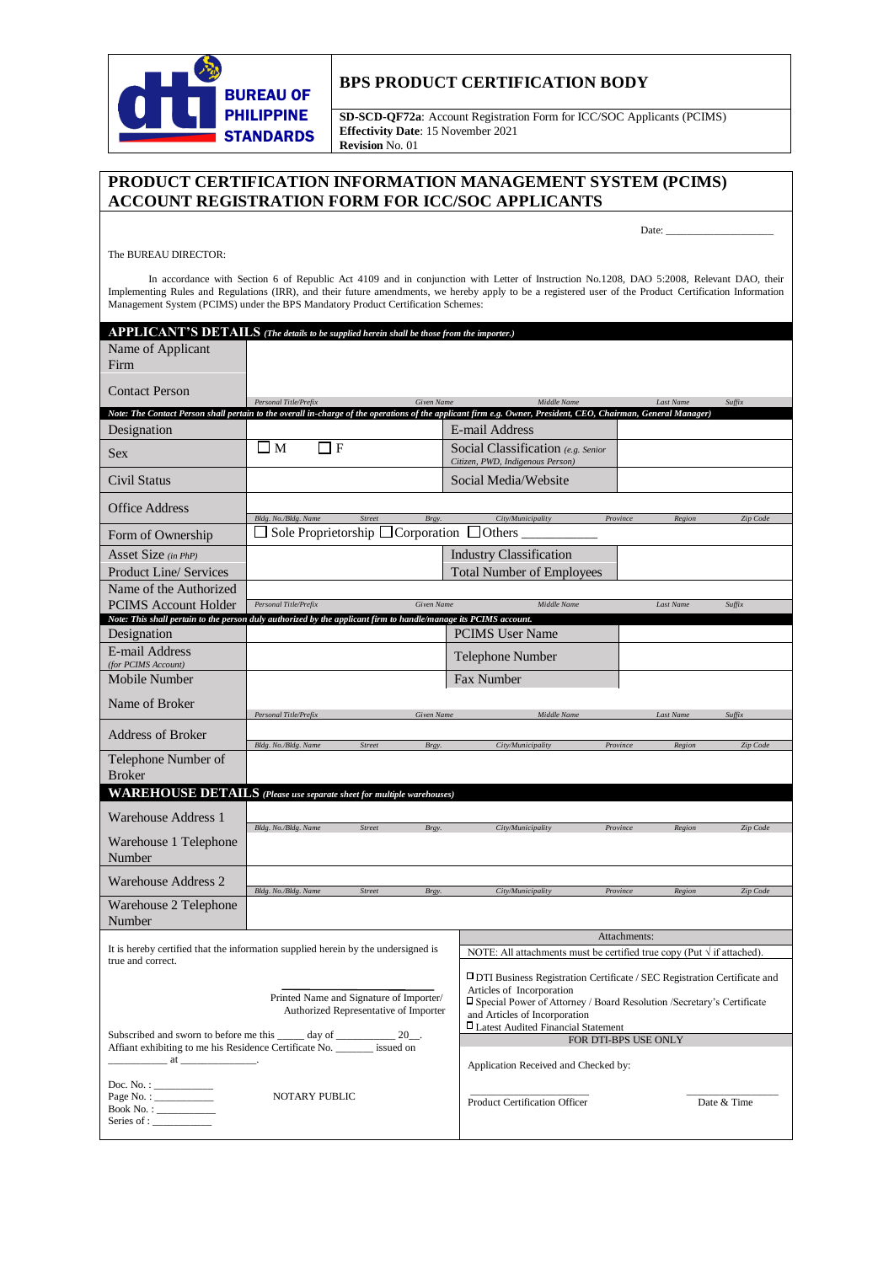

The BUREAU DIRECTOR:

## **BPS PRODUCT CERTIFICATION BODY**

**SD-SCD-QF72a**: Account Registration Form for ICC/SOC Applicants (PCIMS) **Effectivity Date**: 15 November 2021 **Revision** No. 01

## **PRODUCT CERTIFICATION INFORMATION MANAGEMENT SYSTEM (PCIMS) ACCOUNT REGISTRATION FORM FOR ICC/SOC APPLICANTS**

Date: \_\_\_\_\_\_\_\_\_\_\_\_\_\_\_\_\_\_\_\_

In accordance with Section 6 of Republic Act 4109 and in conjunction with Letter of Instruction No.1208, DAO 5:2008, Relevant DAO, their Implementing Rules and Regulations (IRR), and their future amendments, we hereby apply to be a registered user of the Product Certification Information Management System (PCIMS) under the BPS Mandatory Product Certification Schemes:

| APPLICANT'S DETAILS (The details to be supplied herein shall be those from the importer.)                                                                      |                                                           |                        |  |                                                                                                                                                                                                                                                                  |              |                  |             |
|----------------------------------------------------------------------------------------------------------------------------------------------------------------|-----------------------------------------------------------|------------------------|--|------------------------------------------------------------------------------------------------------------------------------------------------------------------------------------------------------------------------------------------------------------------|--------------|------------------|-------------|
| Name of Applicant<br>Firm                                                                                                                                      |                                                           |                        |  |                                                                                                                                                                                                                                                                  |              |                  |             |
| <b>Contact Person</b>                                                                                                                                          |                                                           |                        |  |                                                                                                                                                                                                                                                                  |              |                  |             |
| Note: The Contact Person shall pertain to the overall in-charge of the operations of the applicant firm e.g. Owner, President, CEO, Chairman, General Manager) | Personal Title/Prefix                                     | Given Name             |  | Middle Name                                                                                                                                                                                                                                                      |              | Last Name        | Suffix      |
| Designation                                                                                                                                                    |                                                           |                        |  | E-mail Address                                                                                                                                                                                                                                                   |              |                  |             |
| <b>Sex</b>                                                                                                                                                     | $\Box$ M<br>□ F                                           |                        |  | Social Classification (e.g. Senior<br>Citizen, PWD, Indigenous Person)                                                                                                                                                                                           |              |                  |             |
| Civil Status                                                                                                                                                   |                                                           |                        |  | Social Media/Website                                                                                                                                                                                                                                             |              |                  |             |
| Office Address                                                                                                                                                 | Bldg. No./Bldg. Name                                      | Brgy.<br>Street        |  | City/Municipality                                                                                                                                                                                                                                                | Province     | Region           | Zip Code    |
| Form of Ownership                                                                                                                                              | Sole Proprietorship $\Box$ Corporation $\Box$ Others<br>ப |                        |  |                                                                                                                                                                                                                                                                  |              |                  |             |
| Asset Size $(in PhP)$                                                                                                                                          |                                                           |                        |  | <b>Industry Classification</b>                                                                                                                                                                                                                                   |              |                  |             |
| <b>Product Line/ Services</b>                                                                                                                                  | <b>Total Number of Employees</b>                          |                        |  |                                                                                                                                                                                                                                                                  |              |                  |             |
| Name of the Authorized<br><b>PCIMS</b> Account Holder                                                                                                          | Personal Title/Prefix                                     | <b>Given Name</b>      |  | Middle Name                                                                                                                                                                                                                                                      |              | <b>Last Name</b> | Suffix      |
| Note: This shall pertain to the person duly authorized by the applicant firm to handle/manage its PCIMS account.                                               |                                                           |                        |  |                                                                                                                                                                                                                                                                  |              |                  |             |
| Designation                                                                                                                                                    |                                                           |                        |  | <b>PCIMS</b> User Name                                                                                                                                                                                                                                           |              |                  |             |
| E-mail Address<br>(for PCIMS Account)                                                                                                                          |                                                           |                        |  | Telephone Number                                                                                                                                                                                                                                                 |              |                  |             |
| Mobile Number                                                                                                                                                  |                                                           |                        |  | <b>Fax Number</b>                                                                                                                                                                                                                                                |              |                  |             |
| Name of Broker                                                                                                                                                 | Personal Title/Prefix                                     | Given Name             |  | Middle Name                                                                                                                                                                                                                                                      |              | Last Name        | Suffix      |
| Address of Broker                                                                                                                                              | Bldg. No./Bldg. Name                                      | Street<br>Brgy.        |  | City/Municipality                                                                                                                                                                                                                                                | Province     |                  | Zip Code    |
| Telephone Number of                                                                                                                                            |                                                           |                        |  |                                                                                                                                                                                                                                                                  |              | Region           |             |
| <b>Broker</b><br><b>WAREHOUSE DETAILS</b> (Please use separate sheet for multiple warehouses)                                                                  |                                                           |                        |  |                                                                                                                                                                                                                                                                  |              |                  |             |
|                                                                                                                                                                |                                                           |                        |  |                                                                                                                                                                                                                                                                  |              |                  |             |
| <b>Warehouse Address 1</b>                                                                                                                                     | Bldg. No./Bldg. Name                                      | <b>Street</b><br>Brgy. |  | City/Municipality                                                                                                                                                                                                                                                | Province     | Region           | Zip Code    |
| Warehouse 1 Telephone<br>Number                                                                                                                                |                                                           |                        |  |                                                                                                                                                                                                                                                                  |              |                  |             |
| <b>Warehouse Address 2</b>                                                                                                                                     |                                                           |                        |  |                                                                                                                                                                                                                                                                  |              |                  |             |
| Warehouse 2 Telephone                                                                                                                                          | Bldg. No./Bldg. Name                                      | Street<br>Brgy.        |  | City/Municipality                                                                                                                                                                                                                                                | Province     | Region           | Zip Code    |
| Number                                                                                                                                                         |                                                           |                        |  |                                                                                                                                                                                                                                                                  | Attachments: |                  |             |
| It is hereby certified that the information supplied herein by the undersigned is<br>true and correct.                                                         |                                                           |                        |  | NOTE: All attachments must be certified true copy (Put $\sqrt{ }$ if attached).                                                                                                                                                                                  |              |                  |             |
| Printed Name and Signature of Importer/<br>Authorized Representative of Importer                                                                               |                                                           |                        |  | $\Box$ DTI Business Registration Certificate / SEC Registration Certificate and<br>Articles of Incorporation<br>□ Special Power of Attorney / Board Resolution /Secretary's Certificate<br>and Articles of Incorporation<br>□ Latest Audited Financial Statement |              |                  |             |
| Subscribed and sworn to before me this ______ day of ______________ 20__.<br>Affiant exhibiting to me his Residence Certificate No. issued on                  |                                                           |                        |  | FOR DTI-BPS USE ONLY                                                                                                                                                                                                                                             |              |                  |             |
| $\overline{\text{at}}$ at $\overline{\text{at}}$                                                                                                               |                                                           |                        |  | Application Received and Checked by:                                                                                                                                                                                                                             |              |                  |             |
| Doc. No. : ___________<br>Page No. : ___________<br>NOTARY PUBLIC<br>Book No. : ___________<br>Series of : $\frac{1}{\frac{1}{2} + \frac{1}{2}}$               |                                                           |                        |  | Product Certification Officer                                                                                                                                                                                                                                    |              |                  | Date & Time |